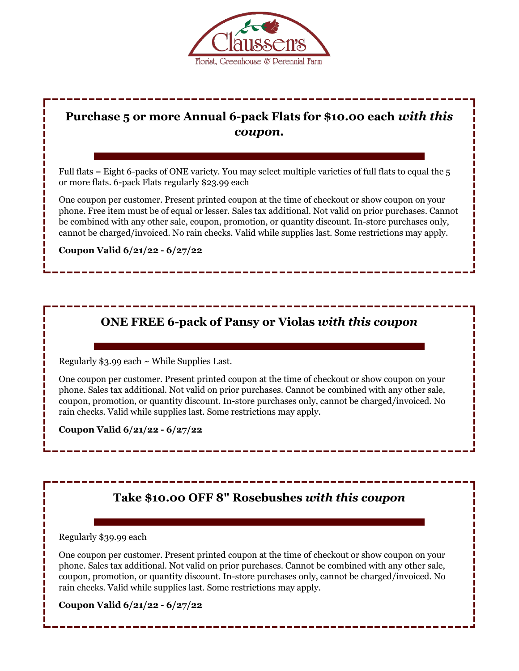

## **Purchase 5 or more Annual 6-pack Flats for \$10.00 each** *with this coupon.*

Full flats = Eight 6-packs of ONE variety. You may select multiple varieties of full flats to equal the 5 or more flats. 6-pack Flats regularly \$23.99 each

One coupon per customer. Present printed coupon at the time of checkout or show coupon on your phone. Free item must be of equal or lesser. Sales tax additional. Not valid on prior purchases. Cannot be combined with any other sale, coupon, promotion, or quantity discount. In-store purchases only, cannot be charged/invoiced. No rain checks. Valid while supplies last. Some restrictions may apply.

**Coupon Valid 6/21/22 - 6/27/22** 

## **ONE FREE 6-pack of Pansy or Violas** *with this coupon*

Regularly  $$3.99$  each  $\sim$  While Supplies Last.

One coupon per customer. Present printed coupon at the time of checkout or show coupon on your phone. Sales tax additional. Not valid on prior purchases. Cannot be combined with any other sale, coupon, promotion, or quantity discount. In-store purchases only, cannot be charged/invoiced. No rain checks. Valid while supplies last. Some restrictions may apply.

**Coupon Valid 6/21/22 - 6/27/22** 

## **Take \$10.00 OFF 8" Rosebushes** *with this coupon*

Regularly \$39.99 each

One coupon per customer. Present printed coupon at the time of checkout or show coupon on your phone. Sales tax additional. Not valid on prior purchases. Cannot be combined with any other sale, coupon, promotion, or quantity discount. In-store purchases only, cannot be charged/invoiced. No rain checks. Valid while supplies last. Some restrictions may apply.

**Coupon Valid 6/21/22 - 6/27/22**